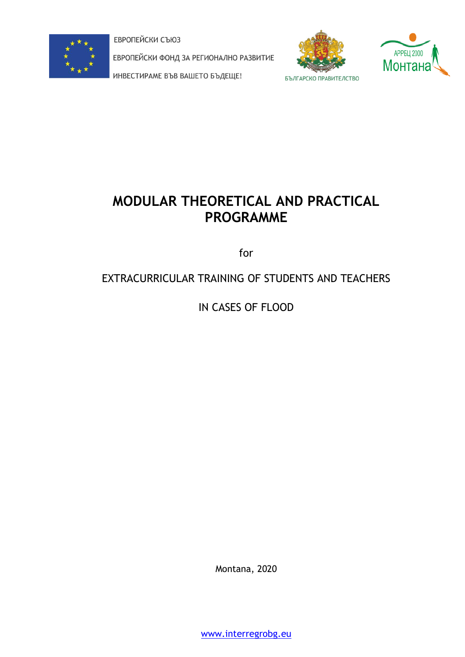

ЕВРОПЕЙСКИ СЪЮЗ

ЕВРОПЕЙСКИ ФОНД ЗА РЕГИОНАЛНО РАЗВИТИЕ

ИНВЕСТИРАМЕ ВЪВ ВАШЕТО БЪДЕЩЕ!





# **MODULAR THEORETICAL AND PRACTICAL PROGRAMME**

for

## EXTRACURRICULAR TRAINING OF STUDENTS AND TEACHERS

IN CASES OF FLOOD

Montana, 2020

[www.interregrobg.eu](http://www.interregrobg.eu/)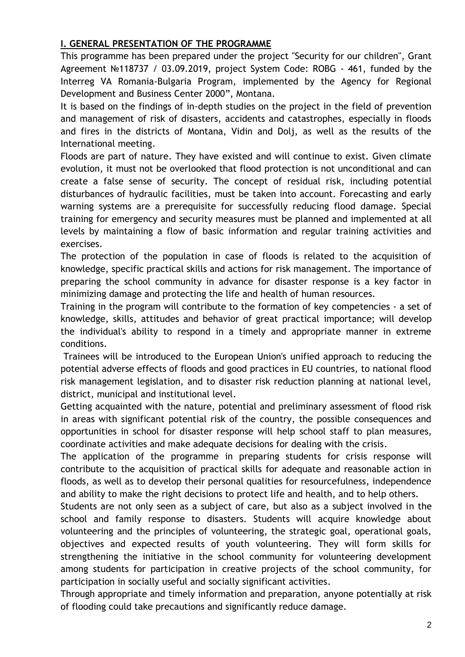## **І. GENERAL PRESENTATION OF THE PROGRAMME**

This programme has been prepared under the project "Security for our children", Grant Agreement №118737 / 03.09.2019, project System Code: ROBG - 461, funded by the Interreg VA Romania-Bulgaria Program, implemented by the Agency for Regional Development and Business Center 2000", Montana.

It is based on the findings of in-depth studies on the project in the field of prevention and management of risk of disasters, accidents and catastrophes, especially in floods and fires in the districts of Montana, Vidin and Dolj, as well as the results of the International meeting.

Floods are part of nature. They have existed and will continue to exist. Given climate evolution, it must not be overlooked that flood protection is not unconditional and can create a false sense of security. The concept of residual risk, including potential disturbances of hydraulic facilities, must be taken into account. Forecasting and early warning systems are a prerequisite for successfully reducing flood damage. Special training for emergency and security measures must be planned and implemented at all levels by maintaining a flow of basic information and regular training activities and exercises.

The protection of the population in case of floods is related to the acquisition of knowledge, specific practical skills and actions for risk management. The importance of preparing the school community in advance for disaster response is a key factor in minimizing damage and protecting the life and health of human resources.

Training in the program will contribute to the formation of key competencies - a set of knowledge, skills, attitudes and behavior of great practical importance; will develop the individual's ability to respond in a timely and appropriate manner in extreme conditions.

Trainees will be introduced to the European Union's unified approach to reducing the potential adverse effects of floods and good practices in EU countries, to national flood risk management legislation, and to disaster risk reduction planning at national level, district, municipal and institutional level.

Getting acquainted with the nature, potential and preliminary assessment of flood risk in areas with significant potential risk of the country, the possible consequences and opportunities in school for disaster response will help school staff to plan measures, coordinate activities and make adequate decisions for dealing with the crisis.

The application of the programme in preparing students for crisis response will contribute to the acquisition of practical skills for adequate and reasonable action in floods, as well as to develop their personal qualities for resourcefulness, independence and ability to make the right decisions to protect life and health, and to help others.

Students are not only seen as a subject of care, but also as a subject involved in the school and family response to disasters. Students will acquire knowledge about volunteering and the principles of volunteering, the strategic goal, operational goals, objectives and expected results of youth volunteering. They will form skills for strengthening the initiative in the school community for volunteering development among students for participation in creative projects of the school community, for participation in socially useful and socially significant activities.

Through appropriate and timely information and preparation, anyone potentially at risk of flooding could take precautions and significantly reduce damage.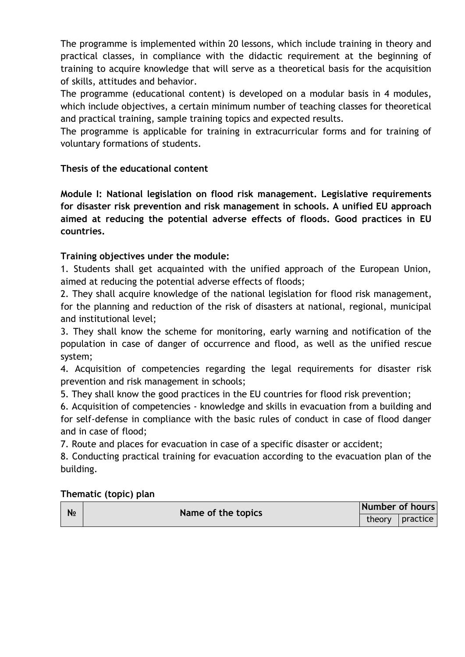The programme is implemented within 20 lessons, which include training in theory and practical classes, in compliance with the didactic requirement at the beginning of training to acquire knowledge that will serve as a theoretical basis for the acquisition of skills, attitudes and behavior.

The programme (educational content) is developed on a modular basis in 4 modules, which include objectives, a certain minimum number of teaching classes for theoretical and practical training, sample training topics and expected results.

The programme is applicable for training in extracurricular forms and for training of voluntary formations of students.

## **Thesis of the educational content**

**Module І: National legislation on flood risk management. Legislative requirements for disaster risk prevention and risk management in schools. A unified EU approach aimed at reducing the potential adverse effects of floods. Good practices in EU countries.**

## **Training objectives under the module:**

1. Students shall get acquainted with the unified approach of the European Union, aimed at reducing the potential adverse effects of floods;

2. They shall acquire knowledge of the national legislation for flood risk management, for the planning and reduction of the risk of disasters at national, regional, municipal and institutional level;

3. They shall know the scheme for monitoring, early warning and notification of the population in case of danger of occurrence and flood, as well as the unified rescue system;

4. Acquisition of competencies regarding the legal requirements for disaster risk prevention and risk management in schools;

5. They shall know the good practices in the EU countries for flood risk prevention;

6. Acquisition of competencies - knowledge and skills in evacuation from a building and for self-defense in compliance with the basic rules of conduct in case of flood danger and in case of flood;

7. Route and places for evacuation in case of a specific disaster or accident;

8. Conducting practical training for evacuation according to the evacuation plan of the building.

| N <sub>2</sub> | Name of the topics | Number of hours |  |
|----------------|--------------------|-----------------|--|
|                |                    | theory practice |  |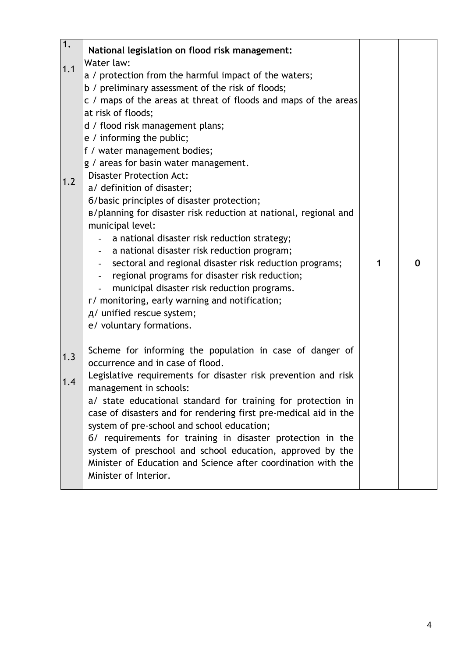| $\overline{1}$ . | National legislation on flood risk management:                   |   |   |
|------------------|------------------------------------------------------------------|---|---|
|                  | Water law:                                                       |   |   |
| 1.1              | a / protection from the harmful impact of the waters;            |   |   |
|                  | b / preliminary assessment of the risk of floods;                |   |   |
|                  | c / maps of the areas at threat of floods and maps of the areas  |   |   |
|                  | at risk of floods;                                               |   |   |
|                  | d / flood risk management plans;                                 |   |   |
|                  | e / informing the public;                                        |   |   |
|                  | f / water management bodies;                                     |   |   |
|                  | g / areas for basin water management.                            |   |   |
|                  | <b>Disaster Protection Act:</b>                                  |   |   |
| 1.2              | a/ definition of disaster;                                       |   |   |
|                  | 6/basic principles of disaster protection;                       |   |   |
|                  | B/planning for disaster risk reduction at national, regional and |   |   |
|                  | municipal level:                                                 |   |   |
|                  | a national disaster risk reduction strategy;                     |   |   |
|                  | a national disaster risk reduction program;                      |   |   |
|                  | sectoral and regional disaster risk reduction programs;          | 1 | 0 |
|                  | regional programs for disaster risk reduction;                   |   |   |
|                  | municipal disaster risk reduction programs.                      |   |   |
|                  | r/ monitoring, early warning and notification;                   |   |   |
|                  | д/ unified rescue system;                                        |   |   |
|                  | e/ voluntary formations.                                         |   |   |
|                  |                                                                  |   |   |
|                  | Scheme for informing the population in case of danger of         |   |   |
| 1.3              | occurrence and in case of flood.                                 |   |   |
|                  | Legislative requirements for disaster risk prevention and risk   |   |   |
| 1.4              | management in schools:                                           |   |   |
|                  | a/ state educational standard for training for protection in     |   |   |
|                  | case of disasters and for rendering first pre-medical aid in the |   |   |
|                  | system of pre-school and school education;                       |   |   |
|                  | 6/ requirements for training in disaster protection in the       |   |   |
|                  | system of preschool and school education, approved by the        |   |   |
|                  | Minister of Education and Science after coordination with the    |   |   |
|                  | Minister of Interior.                                            |   |   |
|                  |                                                                  |   |   |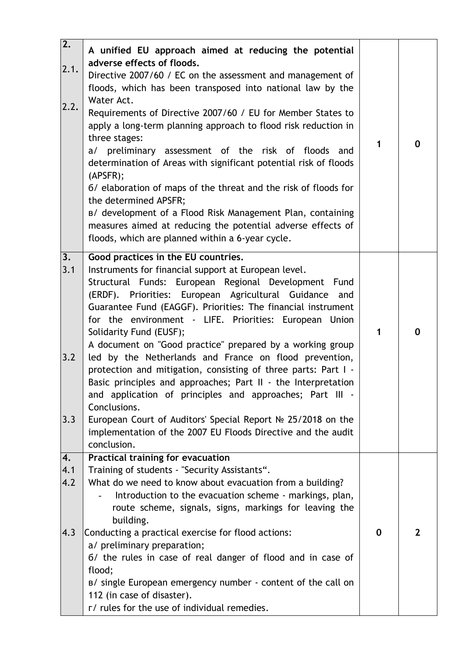| $\overline{2.}$<br>2.1.<br>2.2. | A unified EU approach aimed at reducing the potential<br>adverse effects of floods.<br>Directive 2007/60 / EC on the assessment and management of<br>floods, which has been transposed into national law by the<br>Water Act.<br>Requirements of Directive 2007/60 / EU for Member States to<br>apply a long-term planning approach to flood risk reduction in<br>three stages:<br>a/ preliminary assessment of the risk of floods and<br>determination of Areas with significant potential risk of floods<br>(APSFR);<br>6/ elaboration of maps of the threat and the risk of floods for<br>the determined APSFR;<br>B/ development of a Flood Risk Management Plan, containing<br>measures aimed at reducing the potential adverse effects of<br>floods, which are planned within a 6-year cycle.                                                       | 1 | $\bf{0}$       |
|---------------------------------|-----------------------------------------------------------------------------------------------------------------------------------------------------------------------------------------------------------------------------------------------------------------------------------------------------------------------------------------------------------------------------------------------------------------------------------------------------------------------------------------------------------------------------------------------------------------------------------------------------------------------------------------------------------------------------------------------------------------------------------------------------------------------------------------------------------------------------------------------------------|---|----------------|
| 3.<br>3.1<br>3.2<br>3.3         | Good practices in the EU countries.<br>Instruments for financial support at European level.<br>Structural Funds: European Regional Development Fund<br>(ERDF). Priorities: European Agricultural Guidance<br>and<br>Guarantee Fund (EAGGF). Priorities: The financial instrument<br>for the environment - LIFE. Priorities: European Union<br>Solidarity Fund (EUSF);<br>A document on "Good practice" prepared by a working group<br>led by the Netherlands and France on flood prevention,<br>protection and mitigation, consisting of three parts: Part I -<br>Basic principles and approaches; Part II - the Interpretation<br>and application of principles and approaches; Part III -<br>Conclusions.<br>European Court of Auditors' Special Report № 25/2018 on the<br>implementation of the 2007 EU Floods Directive and the audit<br>conclusion. | 1 | $\mathbf 0$    |
| 4.<br>4.1<br>4.2<br>4.3         | Practical training for evacuation<br>Training of students - "Security Assistants".<br>What do we need to know about evacuation from a building?<br>Introduction to the evacuation scheme - markings, plan,<br>route scheme, signals, signs, markings for leaving the<br>building.<br>Conducting a practical exercise for flood actions:<br>a/ preliminary preparation;<br>6/ the rules in case of real danger of flood and in case of<br>flood;<br>B/ single European emergency number - content of the call on<br>112 (in case of disaster).<br>r/ rules for the use of individual remedies.                                                                                                                                                                                                                                                             | 0 | $\overline{2}$ |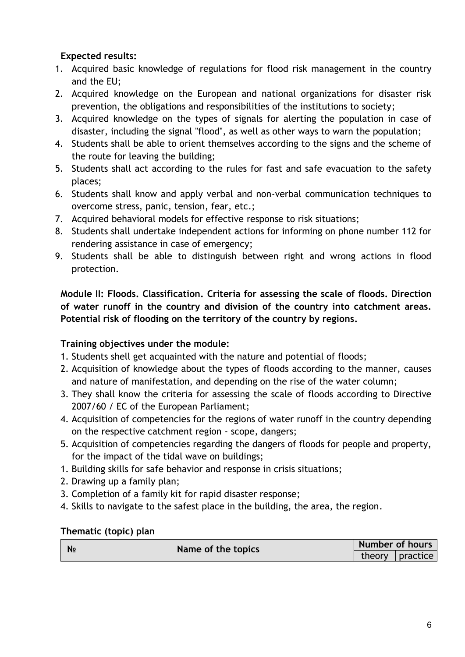- 1. Acquired basic knowledge of regulations for flood risk management in the country and the EU;
- 2. Acquired knowledge on the European and national organizations for disaster risk prevention, the obligations and responsibilities of the institutions to society;
- 3. Acquired knowledge on the types of signals for alerting the population in case of disaster, including the signal "flood", as well as other ways to warn the population;
- 4. Students shall be able to orient themselves according to the signs and the scheme of the route for leaving the building;
- 5. Students shall act according to the rules for fast and safe evacuation to the safety places;
- 6. Students shall know and apply verbal and non-verbal communication techniques to overcome stress, panic, tension, fear, etc.;
- 7. Acquired behavioral models for effective response to risk situations;
- 8. Students shall undertake independent actions for informing on phone number 112 for rendering assistance in case of emergency;
- 9. Students shall be able to distinguish between right and wrong actions in flood protection.

**Module II: Floods. Classification. Criteria for assessing the scale of floods. Direction of water runoff in the country and division of the country into catchment areas. Potential risk of flooding on the territory of the country by regions.**

## **Training objectives under the module:**

- 1. Students shell get acquainted with the nature and potential of floods;
- 2. Acquisition of knowledge about the types of floods according to the manner, causes and nature of manifestation, and depending on the rise of the water column;
- 3. They shall know the criteria for assessing the scale of floods according to Directive 2007/60 / EC of the European Parliament;
- 4. Acquisition of competencies for the regions of water runoff in the country depending on the respective catchment region - scope, dangers;
- 5. Acquisition of competencies regarding the dangers of floods for people and property, for the impact of the tidal wave on buildings;
- 1. Building skills for safe behavior and response in crisis situations;
- 2. Drawing up a family plan;
- 3. Completion of a family kit for rapid disaster response;
- 4. Skills to navigate to the safest place in the building, the area, the region.

| N <sub>2</sub> | Name of the topics | <b>Number of hours</b> |                     |  |
|----------------|--------------------|------------------------|---------------------|--|
|                |                    |                        | theory $ $ practice |  |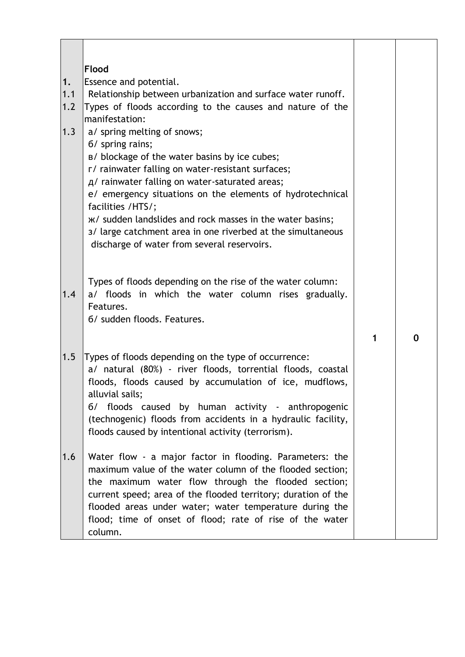|     | <b>Flood</b>                                                  |   |   |
|-----|---------------------------------------------------------------|---|---|
| 1.  | Essence and potential.                                        |   |   |
| 1.1 | Relationship between urbanization and surface water runoff.   |   |   |
| 1.2 | Types of floods according to the causes and nature of the     |   |   |
|     | manifestation:                                                |   |   |
| 1.3 | a/ spring melting of snows;                                   |   |   |
|     | 6/ spring rains;                                              |   |   |
|     | B/ blockage of the water basins by ice cubes;                 |   |   |
|     | r/ rainwater falling on water-resistant surfaces;             |   |   |
|     | A/ rainwater falling on water-saturated areas;                |   |   |
|     | e/ emergency situations on the elements of hydrotechnical     |   |   |
|     | facilities /HTS/;                                             |   |   |
|     | ж/ sudden landslides and rock masses in the water basins;     |   |   |
|     | 3/ large catchment area in one riverbed at the simultaneous   |   |   |
|     | discharge of water from several reservoirs.                   |   |   |
|     |                                                               |   |   |
|     |                                                               |   |   |
|     | Types of floods depending on the rise of the water column:    |   |   |
| 1.4 | a/ floods in which the water column rises gradually.          |   |   |
|     | Features.                                                     |   |   |
|     | 6/ sudden floods. Features.                                   |   |   |
|     |                                                               |   |   |
|     |                                                               | 1 | 0 |
| 1.5 | Types of floods depending on the type of occurrence:          |   |   |
|     | a/ natural (80%) - river floods, torrential floods, coastal   |   |   |
|     | floods, floods caused by accumulation of ice, mudflows,       |   |   |
|     | alluvial sails;                                               |   |   |
|     | 6/ floods caused by human activity - anthropogenic            |   |   |
|     | (technogenic) floods from accidents in a hydraulic facility,  |   |   |
|     | floods caused by intentional activity (terrorism).            |   |   |
|     |                                                               |   |   |
| 1.6 | Water flow - a major factor in flooding. Parameters: the      |   |   |
|     | maximum value of the water column of the flooded section;     |   |   |
|     | the maximum water flow through the flooded section;           |   |   |
|     | current speed; area of the flooded territory; duration of the |   |   |
|     | flooded areas under water; water temperature during the       |   |   |
|     | flood; time of onset of flood; rate of rise of the water      |   |   |
|     | column.                                                       |   |   |

 $\top$ 

 $\top$ 

 $\overline{\mathbf{1}}$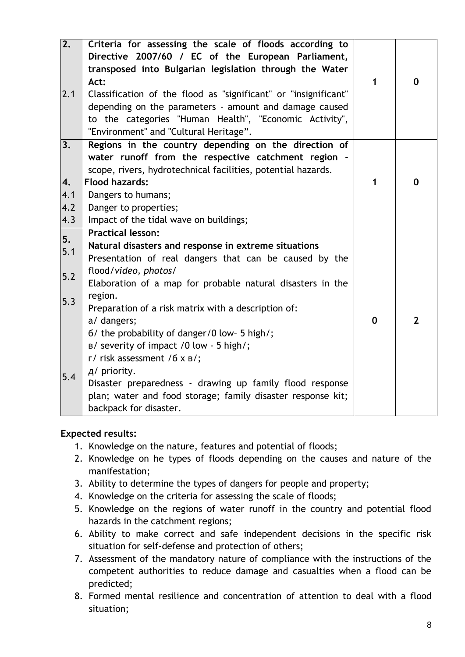| $\overline{2.}$<br>2.1           | Criteria for assessing the scale of floods according to<br>Directive 2007/60 / EC of the European Parliament,<br>transposed into Bulgarian legislation through the Water<br>Act:<br>Classification of the flood as "significant" or "insignificant"<br>depending on the parameters - amount and damage caused<br>to the categories "Human Health", "Economic Activity",<br>"Environment" and "Cultural Heritage".                                                                                                                                                                                                        | $\mathbf 1$ | $\mathbf 0$    |
|----------------------------------|--------------------------------------------------------------------------------------------------------------------------------------------------------------------------------------------------------------------------------------------------------------------------------------------------------------------------------------------------------------------------------------------------------------------------------------------------------------------------------------------------------------------------------------------------------------------------------------------------------------------------|-------------|----------------|
| 3.<br>4.<br>4.1<br>4.2<br>4.3    | Regions in the country depending on the direction of<br>water runoff from the respective catchment region -<br>scope, rivers, hydrotechnical facilities, potential hazards.<br><b>Flood hazards:</b><br>Dangers to humans;<br>Danger to properties;<br>Impact of the tidal wave on buildings;                                                                                                                                                                                                                                                                                                                            | 1           | $\mathbf 0$    |
| 5.<br>5.1<br>$5.2$<br>5.3<br>5.4 | <b>Practical lesson:</b><br>Natural disasters and response in extreme situations<br>Presentation of real dangers that can be caused by the<br>flood/video, photos/<br>Elaboration of a map for probable natural disasters in the<br>region.<br>Preparation of a risk matrix with a description of:<br>a/ dangers;<br>6/ the probability of danger/0 low- 5 high/;<br>B/ severity of impact /0 low - 5 high/;<br>$\Gamma$ / risk assessment /6 x B/;<br>д/ priority.<br>Disaster preparedness - drawing up family flood response<br>plan; water and food storage; family disaster response kit;<br>backpack for disaster. | $\mathbf 0$ | $\overline{2}$ |

- 1. Knowledge on the nature, features and potential of floods;
- 2. Knowledge on he types of floods depending on the causes and nature of the manifestation;
- 3. Ability to determine the types of dangers for people and property;
- 4. Knowledge on the criteria for assessing the scale of floods;
- 5. Knowledge on the regions of water runoff in the country and potential flood hazards in the catchment regions;
- 6. Ability to make correct and safe independent decisions in the specific risk situation for self-defense and protection of others;
- 7. Assessment of the mandatory nature of compliance with the instructions of the competent authorities to reduce damage and casualties when a flood can be predicted;
- 8. Formed mental resilience and concentration of attention to deal with a flood situation;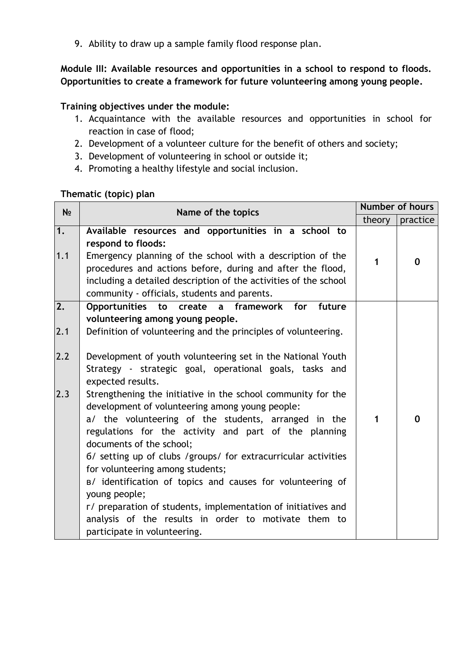9. Ability to draw up a sample family flood response plan.

**Module ІІІ: Available resources and opportunities in a school to respond to floods. Opportunities to create a framework for future volunteering among young people.**

## **Training objectives under the module:**

- 1. Acquaintance with the available resources and opportunities in school for reaction in case of flood;
- 2. Development of a volunteer culture for the benefit of others and society;
- 3. Development of volunteering in school or outside it;
- 4. Promoting a healthy lifestyle and social inclusion.

| N <sub>2</sub>  | Name of the topics                                                                                                                                                                                                                                                                                                             | Number of hours |             |
|-----------------|--------------------------------------------------------------------------------------------------------------------------------------------------------------------------------------------------------------------------------------------------------------------------------------------------------------------------------|-----------------|-------------|
|                 |                                                                                                                                                                                                                                                                                                                                | theory          | practice    |
| 1.<br>1.1       | Available resources and opportunities in a school to<br>respond to floods:<br>Emergency planning of the school with a description of the<br>procedures and actions before, during and after the flood,<br>including a detailed description of the activities of the school<br>community - officials, students and parents.     | 1               | $\mathbf 0$ |
| $\overline{2.}$ | Opportunities to create<br>a framework for<br>future<br>volunteering among young people.                                                                                                                                                                                                                                       |                 |             |
| 2.1             | Definition of volunteering and the principles of volunteering.                                                                                                                                                                                                                                                                 |                 |             |
| 2.2             | Development of youth volunteering set in the National Youth<br>Strategy - strategic goal, operational goals, tasks and<br>expected results.                                                                                                                                                                                    |                 |             |
| 2.3             | Strengthening the initiative in the school community for the<br>development of volunteering among young people:<br>a/ the volunteering of the students, arranged in the<br>regulations for the activity and part of the planning<br>documents of the school;<br>6/ setting up of clubs /groups/ for extracurricular activities | 1               | $\mathbf 0$ |
|                 | for volunteering among students;<br>B/ identification of topics and causes for volunteering of<br>young people;                                                                                                                                                                                                                |                 |             |
|                 | r/ preparation of students, implementation of initiatives and<br>analysis of the results in order to motivate them to<br>participate in volunteering.                                                                                                                                                                          |                 |             |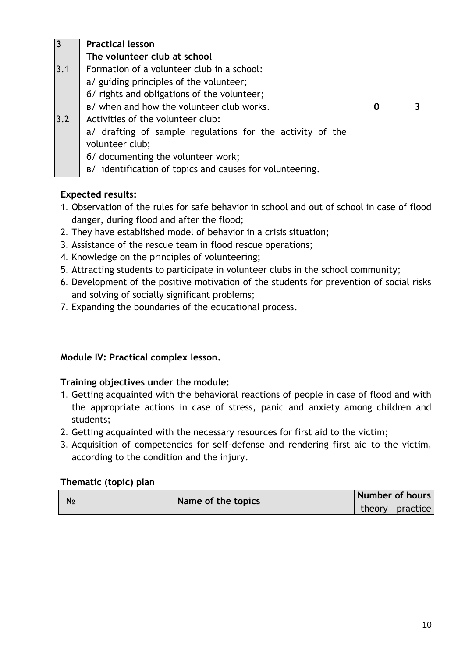| 3   | <b>Practical lesson</b>                                   |   |   |
|-----|-----------------------------------------------------------|---|---|
|     | The volunteer club at school                              |   |   |
| 3.1 | Formation of a volunteer club in a school:                |   |   |
|     | a/ guiding principles of the volunteer;                   |   |   |
|     | 6/ rights and obligations of the volunteer;               |   |   |
|     | B/ when and how the volunteer club works.                 | 0 | 3 |
| 3.2 | Activities of the volunteer club:                         |   |   |
|     | a/ drafting of sample regulations for the activity of the |   |   |
|     | volunteer club;                                           |   |   |
|     | 6/ documenting the volunteer work;                        |   |   |
|     | B/ identification of topics and causes for volunteering.  |   |   |

- 1. Observation of the rules for safe behavior in school and out of school in case of flood danger, during flood and after the flood;
- 2. They have established model of behavior in a crisis situation;
- 3. Assistance of the rescue team in flood rescue operations;
- 4. Knowledge on the principles of volunteering;
- 5. Attracting students to participate in volunteer clubs in the school community;
- 6. Development of the positive motivation of the students for prevention of social risks and solving of socially significant problems;
- 7. Expanding the boundaries of the educational process.

## **Module ІV: Practical complex lesson.**

## **Training objectives under the module:**

- 1. Getting acquainted with the behavioral reactions of people in case of flood and with the appropriate actions in case of stress, panic and anxiety among children and students;
- 2. Getting acquainted with the necessary resources for first aid to the victim;
- 3. Acquisition of competencies for self-defense and rendering first aid to the victim, according to the condition and the injury.

| N <sub>o</sub> | Name of the topics | Number of hours   |
|----------------|--------------------|-------------------|
|                |                    | theory   practice |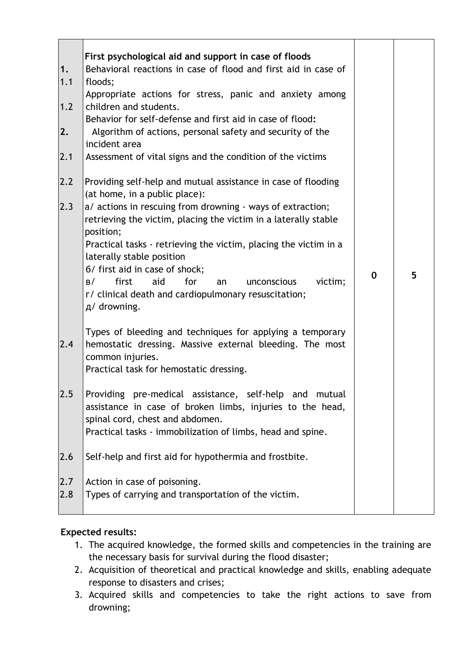| 1.<br>1.1<br>1.2<br>2.<br>2.1 | First psychological aid and support in case of floods<br>Behavioral reactions in case of flood and first aid in case of<br>floods;<br>Appropriate actions for stress, panic and anxiety among<br>children and students.<br>Behavior for self-defense and first aid in case of flood:<br>Algorithm of actions, personal safety and security of the<br>incident area<br>Assessment of vital signs and the condition of the victims                                                                                     |             |   |
|-------------------------------|----------------------------------------------------------------------------------------------------------------------------------------------------------------------------------------------------------------------------------------------------------------------------------------------------------------------------------------------------------------------------------------------------------------------------------------------------------------------------------------------------------------------|-------------|---|
| 2.2<br>2.3                    | Providing self-help and mutual assistance in case of flooding<br>(at home, in a public place):<br>a/ actions in rescuing from drowning - ways of extraction;<br>retrieving the victim, placing the victim in a laterally stable<br>position;<br>Practical tasks - retrieving the victim, placing the victim in a<br>laterally stable position<br>6/ first aid in case of shock;<br>for<br>first<br>aid<br>victim;<br>B/<br>unconscious<br>an<br>r/ clinical death and cardiopulmonary resuscitation;<br>д/ drowning. | $\mathbf 0$ | 5 |
| 2.4                           | Types of bleeding and techniques for applying a temporary<br>hemostatic dressing. Massive external bleeding. The most<br>common injuries.<br>Practical task for hemostatic dressing.                                                                                                                                                                                                                                                                                                                                 |             |   |
| 2.5                           | Providing pre-medical assistance, self-help and mutual<br>assistance in case of broken limbs, injuries to the head,<br>spinal cord, chest and abdomen.<br>Practical tasks - immobilization of limbs, head and spine.                                                                                                                                                                                                                                                                                                 |             |   |
| 2.6                           | Self-help and first aid for hypothermia and frostbite.                                                                                                                                                                                                                                                                                                                                                                                                                                                               |             |   |
| 2.7<br>2.8                    | Action in case of poisoning.<br>Types of carrying and transportation of the victim.                                                                                                                                                                                                                                                                                                                                                                                                                                  |             |   |

- 1. The acquired knowledge, the formed skills and competencies in the training are the necessary basis for survival during the flood disaster;
- 2. Acquisition of theoretical and practical knowledge and skills, enabling adequate response to disasters and crises;
- 3. Acquired skills and competencies to take the right actions to save from drowning;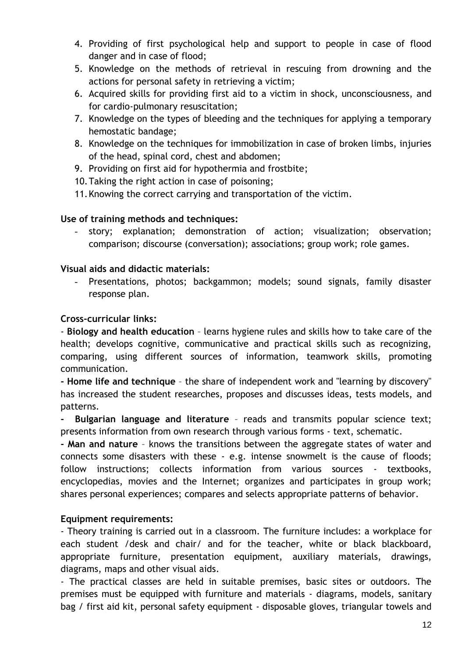- 4. Providing of first psychological help and support to people in case of flood danger and in case of flood;
- 5. Knowledge on the methods of retrieval in rescuing from drowning and the actions for personal safety in retrieving a victim;
- 6. Acquired skills for providing first aid to a victim in shock, unconsciousness, and for cardio-pulmonary resuscitation;
- 7. Knowledge on the types of bleeding and the techniques for applying a temporary hemostatic bandage;
- 8. Knowledge on the techniques for immobilization in case of broken limbs, injuries of the head, spinal cord, chest and abdomen;
- 9. Providing on first aid for hypothermia and frostbite;
- 10.Taking the right action in case of poisoning;
- 11.Knowing the correct carrying and transportation of the victim.

#### **Use of training methods and techniques:**

story; explanation; demonstration of action; visualization; observation; comparison; discourse (conversation); associations; group work; role games.

#### **Visual aids and didactic materials:**

Presentations, photos; backgammon; models; sound signals, family disaster response plan.

#### **Cross-curricular links:**

- **Biology and health education** – learns hygiene rules and skills how to take care of the health; develops cognitive, communicative and practical skills such as recognizing, comparing, using different sources of information, teamwork skills, promoting communication.

**- Home life and technique** – the share of independent work and "learning by discovery" has increased the student researches, proposes and discusses ideas, tests models, and patterns.

**- Bulgarian language and literature** – reads and transmits popular science text; presents information from own research through various forms - text, schematic.

**- Man and nature** – knows the transitions between the aggregate states of water and connects some disasters with these - e.g. intense snowmelt is the cause of floods; follow instructions; collects information from various sources - textbooks, encyclopedias, movies and the Internet; organizes and participates in group work; shares personal experiences; compares and selects appropriate patterns of behavior.

#### **Equipment requirements:**

- Theory training is carried out in a classroom. The furniture includes: a workplace for each student /desk and chair/ and for the teacher, white or black blackboard, appropriate furniture, presentation equipment, auxiliary materials, drawings, diagrams, maps and other visual aids.

- The practical classes are held in suitable premises, basic sites or outdoors. The premises must be equipped with furniture and materials - diagrams, models, sanitary bag / first aid kit, personal safety equipment - disposable gloves, triangular towels and